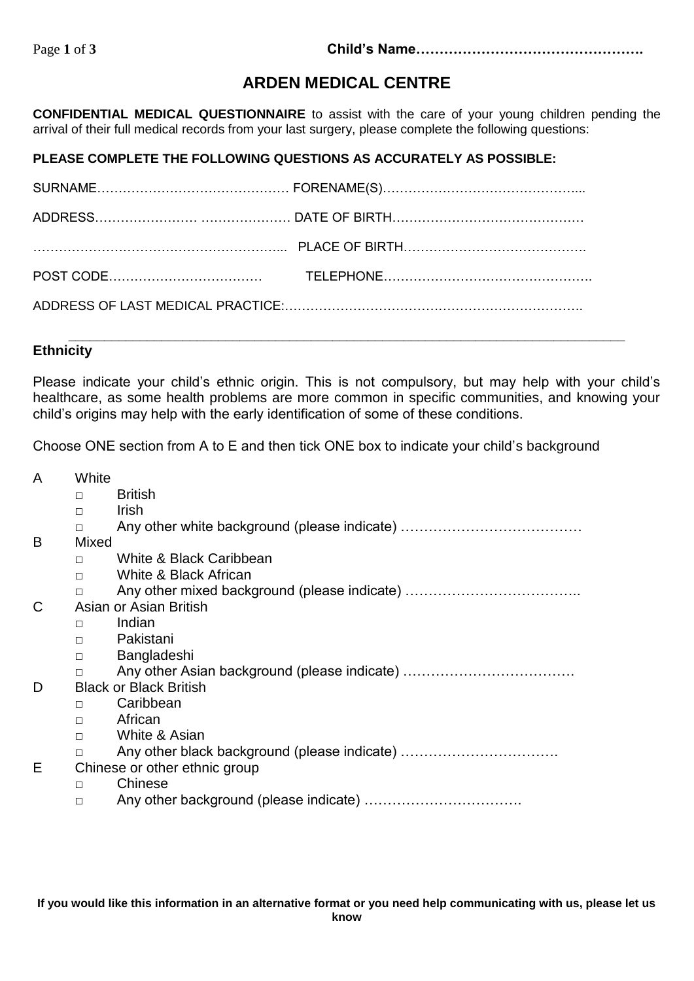# **ARDEN MEDICAL CENTRE**

**CONFIDENTIAL MEDICAL QUESTIONNAIRE** to assist with the care of your young children pending the arrival of their full medical records from your last surgery, please complete the following questions:

### **PLEASE COMPLETE THE FOLLOWING QUESTIONS AS ACCURATELY AS POSSIBLE:**

## **Ethnicity**

Please indicate your child's ethnic origin. This is not compulsory, but may help with your child's healthcare, as some health problems are more common in specific communities, and knowing your child's origins may help with the early identification of some of these conditions.

Choose ONE section from A to E and then tick ONE box to indicate your child's background

A White

- □ British
- □ Irish
- □ Any other white background (please indicate) ……………………………………
- B Mixed
	- □ White & Black Caribbean
	- □ White & Black African
	- □ Any other mixed background (please indicate) ……………………………………
- C Asian or Asian British
	- □ Indian
	- □ Pakistani
	- □ Bangladeshi
	- □ Any other Asian background (please indicate) ……………………………………
- D Black or Black British
	- □ Caribbean
	- □ African
	- □ White & Asian
	- □ Any other black background (please indicate) …………………………………
- E Chinese or other ethnic group
	- □ Chinese
	- □ Any other background (please indicate) ……………………………………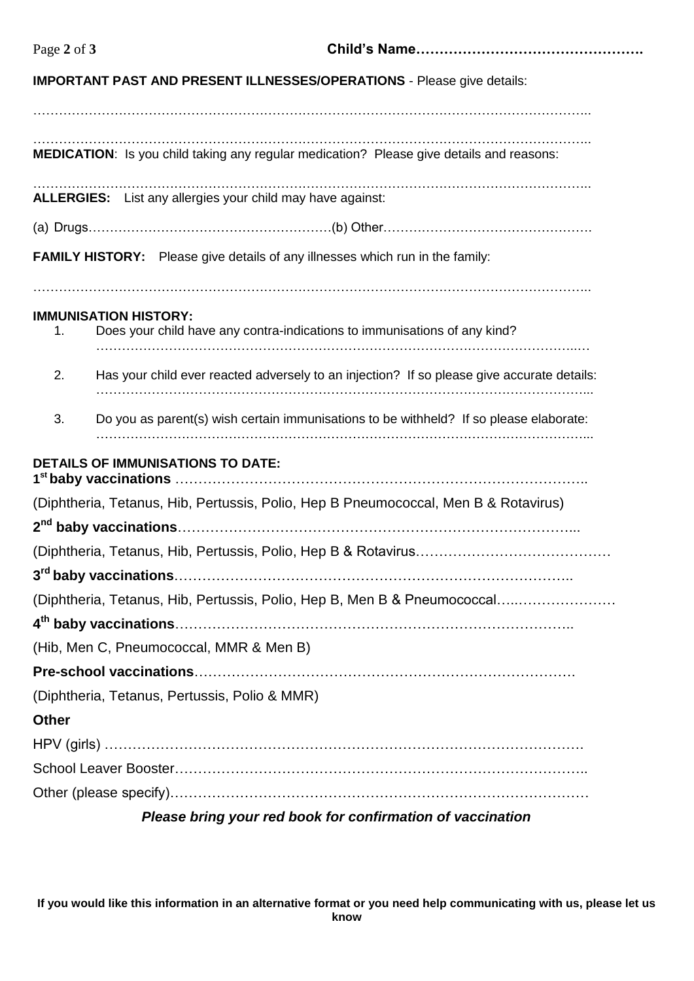## **IMPORTANT PAST AND PRESENT ILLNESSES/OPERATIONS** - Please give details:

………………………………………………………………………………………………………………….. **MEDICATION**: Is you child taking any regular medication? Please give details and reasons:

…………………………………………………………………………………………………………………..

………………………………………………………………………………………………………………….. **ALLERGIES:** List any allergies your child may have against:

|--|--|--|

…………………………………………………………………………………………………………………..

**FAMILY HISTORY:** Please give details of any illnesses which run in the family:

#### **IMMUNISATION HISTORY:**

| 1.                                                         | Does your child have any contra-indications to immunisations of any kind?                  |  |  |  |
|------------------------------------------------------------|--------------------------------------------------------------------------------------------|--|--|--|
| 2.                                                         | Has your child ever reacted adversely to an injection? If so please give accurate details: |  |  |  |
| 3.                                                         | Do you as parent(s) wish certain immunisations to be withheld? If so please elaborate:     |  |  |  |
|                                                            | <b>DETAILS OF IMMUNISATIONS TO DATE:</b>                                                   |  |  |  |
|                                                            | (Diphtheria, Tetanus, Hib, Pertussis, Polio, Hep B Pneumococcal, Men B & Rotavirus)        |  |  |  |
|                                                            |                                                                                            |  |  |  |
|                                                            |                                                                                            |  |  |  |
|                                                            |                                                                                            |  |  |  |
|                                                            | (Diphtheria, Tetanus, Hib, Pertussis, Polio, Hep B, Men B & Pneumococcal                   |  |  |  |
|                                                            |                                                                                            |  |  |  |
|                                                            | (Hib, Men C, Pneumococcal, MMR & Men B)                                                    |  |  |  |
|                                                            |                                                                                            |  |  |  |
|                                                            | (Diphtheria, Tetanus, Pertussis, Polio & MMR)                                              |  |  |  |
| <b>Other</b>                                               |                                                                                            |  |  |  |
|                                                            |                                                                                            |  |  |  |
|                                                            |                                                                                            |  |  |  |
|                                                            |                                                                                            |  |  |  |
| Please bring your red book for confirmation of vaccination |                                                                                            |  |  |  |